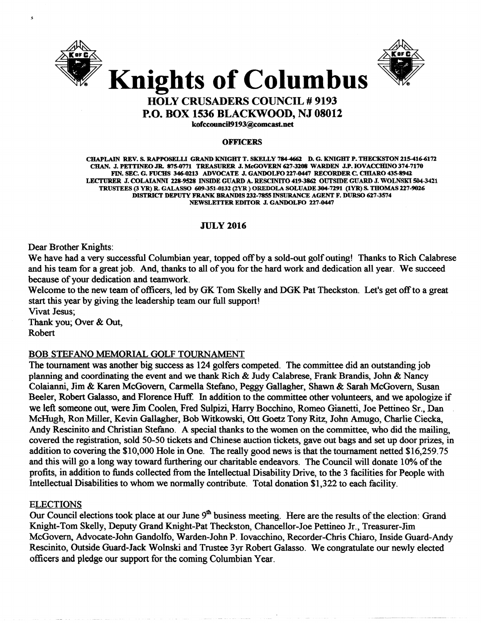



# HOLY CRUSADERS COUNCIL # 9193 P.O. BOX 1536 BLACKWOOD, NJ 08012

kofccouncil9193@comcast.net

#### **OFFICERS**

CHAPLAIN REV. S. RAPPOSELU GRAND KNIGHT T. SKELLY 7844662 D. G. KNIGHT P. THECKSTON 215-416-6172 CHAN. J.PETTINEOJR. 875-0771 TREASURER J.MeGOVERN627-3208 WARDEN J.P. IOVACCIIIN0374-7170 FIN. SEC. G. FUCHS 346-0213 ADVOCATE J. GANDOLFO 227-0447 RECORDER C. CHIARO 435-8941 LECTURER J. COLAIANNI 228-9528 INSIDE GUARD A. RESCINITO 419-3862 OUTSIDE GUARD J. WOLNSKI 504-3421 TRUSTEES (3 YR) R. GALASSO 609-351-0132 (2YR) OREDOLA SOLUADE 304-7291 (IYR) S. THOMAS 227-9026 DISTRICT DEPUTY FRANK BRANDIS 232-7855 INSURANCE AGENT F. DURSO 627-3574 NEWSLETTER EDITOR J. GANDOLFO 227-0447

# JULy 2016

Dear Brother Knights:

We have had a very successful Columbian year, topped off by a sold-out golf outing! Thanks to Rich Calabrese and his team for a great job. And, thanks to all of you for the hard work and dedication all year. We succeed because of your dedication and teamwork.

Welcome to the new team of officers, led by GK Tom Skelly and DGK Pat Theckston. Let's get off to a great start this year by giving the leadership team our full support! Vivat Jesus;

Thank you; Over & Out, Robert

# BOB STEFANO MEMORIAL GOLF TOURNAMENT

The tournament was another big success as 124 golfers competed. The committee did an outstanding job planning and coordinating the event and we thank Rich & Judy Calabrese, Frank Brandis, John & Nancy Colaianni, Jim & Karen McGovern, Carmella Stefano, Peggy Gallagher, Shawn & Sarah McGovern, Susan Beeler, Robert Galasso, and Florence Huff. In addition to the committee other volunteers, and we apologize if we left someone out, were Jim Coolen, Fred Sulpizi, Harry Bocchino, Romeo Gianetti, Joe Pettineo Sr.• Dan McHugh, Ron Miller, Kevin Gallagher, Bob Witkowski, Ott Goetz Tony Ritz, John Amugo, Charlie Ciecka, Andy Rescinito and Christian Stefano. A special thanks to the women on the committee, who did the mailing, covered the registration, sold 50-50 tickets and Chinese auction tickets, gave out bags and set up door prizes, in addition to covering the \$10,000 Hole in One. The really good news is that the tournament netted \$16,259.75 and this will go a long way toward furthering our charitable endeavors. The Council will donate 10% of the profits, in addition to funds collected from the Intellectual Disability Drive, to the 3 facilities for People with Intellectual Disabilities to whom we normally contribute. Total donation \$1,322 to each facility.

# ELECTIONS

Our Council elections took place at our June 9<sup>th</sup> business meeting. Here are the results of the election: Grand Knight-Tom Skelly, Deputy Grand Knight-Pat Theckston, Chancellor-Joe Pettineo Jr., Treasurer-Jim McGovern, Advocate-John Gandolfo, Warden-John P. Iovacchino, Recorder-Chris Chiaro, Inside Guard-Andy Rescinito, Outside Guard-Jack Wolnski and Trustee 3yr Robert Galasso. We congratulate our newly elected officers and pledge our support for the coming Columbian Year.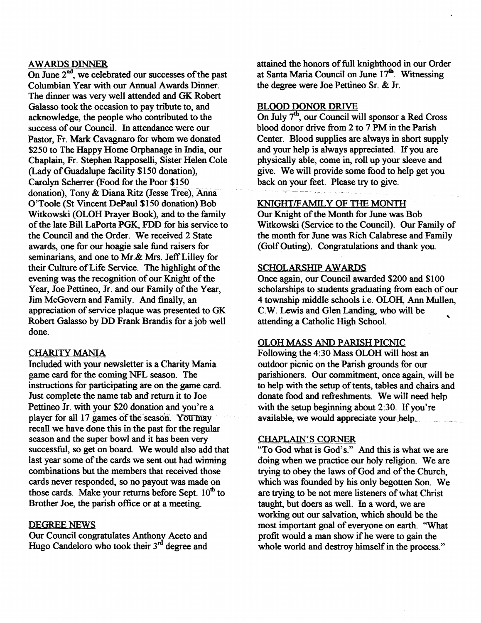#### AWARDS DINNER

On June  $2<sup>nd</sup>$ , we celebrated our successes of the past Columbian Year with our Annual Awards Dinner. The dinner was very well attended and GK Robert Galasso took the occasion to pay tribute to, and acknowledge, the people who contributed to the success of our Council. In attendance were our Pastor, Fr. Mark Cavagnaro for whom we donated \$250 to The Happy Home Orphanage in India, our Chaplain, Fr. Stephen Rapposelli, Sister Helen Cole (Lady of Guadalupe facility \$150 donation), Carolyn Scherrer (Food for the Poor \$150 donation), Tony & Diana Ritz (Jesse Tree), Anna. O'Toole (St Vincent DePaul \$150 donation) Bob Witkowski (OLOH Prayer Book), and to the family of the late Bill LaPorta PGK, FDD for his service to the Council and the Order. We received 2 State awards, one for our hoagie sale fund raisers for seminarians, and one to Mr.& Mrs. Jeff Lilley for their Culture of Life Service. The highlight of the evening was the recognition of our Knight of the Year, Joe Pettineo, Jr. and our Family of the Year, Jim McGovern and Family. And finally, an appreciation of service plaque was presented to GK Robert Galasso by DD Frank Brandis for a job well done.

# CHARITY MANIA

Included with your newsletter is a Charity Mania game card for the coming NFL season. The instructions for participating are on the game card. Just complete the name tab and return it to Joe Pettineo Ir. with your \$20 donation and you're a player for all 17 games of the season. You may recall we have done this in the past for the regular season and the super bowl and it has been very successful, so get on board. We would also add that last year some of the cards we sent out had winning combinations but the members that received those cards never responded, so no payout was made on those cards. Make your returns before Sept.  $10^{th}$  to Brother Joe, the parish office or at a meeting.

#### DEGREE NEWS

Our Council congratulates Anthony Aceto and Hugo Candeloro who took their  $3<sup>rd</sup>$  degree and

attained the honors of full knighthood in our Order at Santa Maria Council on June 17<sup>th</sup>. Witnessing the degree were Joe Pettineo Sr. & Jr.

#### BLOOD DONOR DRIVE

On July  $7<sup>th</sup>$ , our Council will sponsor a Red Cross blood donor drive from 2 to 7 PM in the Parish Center. Blood supplies are always in short supply and your help is always appreciated. If you are physically able, come in, roll up your sleeve and give. We will provide some food to help get you back on your feet. Please try to give.

# KNIGHT/FAMILY OF THE MONTH

Our Knight of the Month for June was Bob Witkowski (Service to the Council). Our Family of the month for June was Rich Calabrese and Family (Golf Outing). Congratulations and thank you.

#### SCHOLARSHIP AWARDS

Once again, our Council awarded \$200 and \$100 scholarships to students graduating from each of our 4 township middle schools i.e. OLOH, Ann Mullen, C.W. Lewis and Glen Landing, who will be attending a Catholic High School.

## OLOH MASS AND PARISH PICNIC

Following the 4:30 Mass OLOH will host an outdoor picnic on the Parish grounds for our parishioners. Our commitment, once again, will be to help with the setup of tents, tables and chairs and donate food and refreshments. We will need help with the setup beginning about 2:30. If you're available, we would appreciate your help.

## CHAPLAIN'S CORNER

"To God what is God's." And this is what we are doing when we practice our holy religion. We are trying to obey the laws of God and of the Church, which was founded by his only begotten Son. We are trying to be not mere listeners of what Christ taught, but doers as well. In a word, we are working out our salvation, which should be the most important goal of everyone on earth. "What profit would a man show if he were to gain the whole world and destroy himself in the process."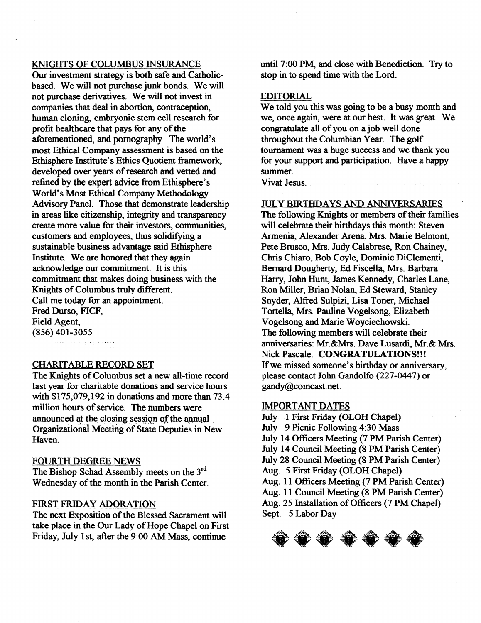#### KNIGHTS OF COLUMBUS INSURANCE

Our investment strategy is both safe and Catholicbased. We will not purchase junk bonds. We will not purchase derivatives. We will not invest in companies that deal in abortion, contraception, human cloning, embryonic stem cell research for profit healthcare that pays for any of the aforementioned, and pornography. The world's most Ethical Company assessment is based on the Ethisphere Institute's Ethics Quotient framework, developed over years of research and vetted and refined by the expert advice from Ethisphere's World's Most Ethical Company Methodology Advisory Panel. Those that demonstrate leadership in areas like citizenship, integrity and transparency create more value for their investors, communities, customers and employees, thus solidifying a sustainable business advantage said Ethisphere Institute. We are honored that they again acknowledge our commitment. It is this commitment that makes doing business with the Knights of Columbus truly different. Call me today for an appointment. Fred Durso, FICF, Field Agent, (856) 401-3055 Concerte de crem

#### CHARITABLE RECORD SET

The Knights of Columbus set a new all-time record last year for charitable donations and service hours with \$175,079,192 in donations and more than 73.4 million hours of service. The numbers were announced at the closing session of the annual Organizational Meeting of State Deputies in New Haven.

#### FOURTH DEGREE NEWS

The Bishop Schad Assembly meets on the 3<sup>rd</sup> Wednesday of the month in the Parish Center.

# FIRST FRIDAY ADORATION

The next Exposition of the Blessed Sacrament will take place in the Our Lady of Hope Chapel on First Friday, July 1st, after the 9:00 AM Mass, continue

until 7:00 PM, and close with Benediction. Try to stop in to spend time with the Lord.

# EDITORIAL

We told you this was going to be a busy month and we, once again, were at our best. It was great. We congratulate all of you on a job well done throughout the Columbian Year. The golf tournament was a huge success and we thank you for your support and participation. Have a happy summer.

Report Follows

Vivat Jesus.

## JULY BIRTHDAYS AND ANNIVERSARIES

The following Knights or members of their families will celebrate their birthdays this month: Steven Armenia, Alexander Arena, Mrs. Marie Belmont, Pete Brusco, Mrs. Judy Calabrese, Ron Chainey, Chris Chiaro, Bob Coyle, Dominic DiClementi, Bernard Dougherty, Ed Fiscella, Mrs. Barbara Harry, John Hunt, James Kennedy, Charles Lane, Ron Miller, Brian Nolan, Ed Steward, Stanley Snyder, Alfred Sulpizi, Lisa Toner, Michael Tortella, Mrs. Pauline Vogelsong, Elizabeth Vogelsong and Marie Woyciechowski. The following members will celebrate their anniversaries: Mr.&Mrs. Dave Lusardi, Mr.& Mrs. Nick Pascale. CONGRATULATIONS!!! Ifwe missed someone's birthday or anniversary, please contact John Gandolfo (227-0447) or gandy@comcast.net.

#### IMPORTANT DATES

July. 1 First Friday (OLOH Chapel) July 9 Picnic Following 4:30 Mass July 14 Officers Meeting (7 PM Parish Center) July 14 Council Meeting (8 PM Parish Center) July 28 Council Meeting (8 PM Parish Center) Aug. 5 First Friday (OLOH Chapel) Aug. 11 Officers Meeting (7 PM Parish Center) Aug. 11 Council Meeting (8 PM Parish Center) Aug. 25 Installation of Officers (7 PM Chapel) Sept. 5 Labor Day